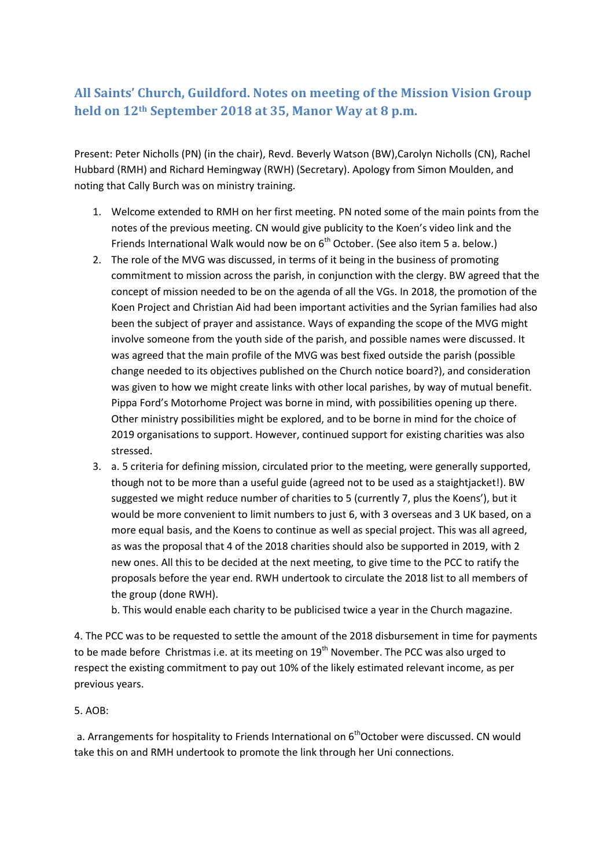## **All Saints' Church, Guildford. Notes on meeting of the Mission Vision Group held on 12th September 2018 at 35, Manor Way at 8 p.m.**

Present: Peter Nicholls (PN) (in the chair), Revd. Beverly Watson (BW),Carolyn Nicholls (CN), Rachel Hubbard (RMH) and Richard Hemingway (RWH) (Secretary). Apology from Simon Moulden, and noting that Cally Burch was on ministry training.

- 1. Welcome extended to RMH on her first meeting. PN noted some of the main points from the notes of the previous meeting. CN would give publicity to the Koen's video link and the Friends International Walk would now be on 6<sup>th</sup> October. (See also item 5 a. below.)
- 2. The role of the MVG was discussed, in terms of it being in the business of promoting commitment to mission across the parish, in conjunction with the clergy. BW agreed that the concept of mission needed to be on the agenda of all the VGs. In 2018, the promotion of the Koen Project and Christian Aid had been important activities and the Syrian families had also been the subject of prayer and assistance. Ways of expanding the scope of the MVG might involve someone from the youth side of the parish, and possible names were discussed. It was agreed that the main profile of the MVG was best fixed outside the parish (possible change needed to its objectives published on the Church notice board?), and consideration was given to how we might create links with other local parishes, by way of mutual benefit. Pippa Ford's Motorhome Project was borne in mind, with possibilities opening up there. Other ministry possibilities might be explored, and to be borne in mind for the choice of 2019 organisations to support. However, continued support for existing charities was also stressed.
- 3. a. 5 criteria for defining mission, circulated prior to the meeting, were generally supported, though not to be more than a useful guide (agreed not to be used as a staightjacket!). BW suggested we might reduce number of charities to 5 (currently 7, plus the Koens'), but it would be more convenient to limit numbers to just 6, with 3 overseas and 3 UK based, on a more equal basis, and the Koens to continue as well as special project. This was all agreed, as was the proposal that 4 of the 2018 charities should also be supported in 2019, with 2 new ones. All this to be decided at the next meeting, to give time to the PCC to ratify the proposals before the year end. RWH undertook to circulate the 2018 list to all members of the group (done RWH).

b. This would enable each charity to be publicised twice a year in the Church magazine.

4. The PCC was to be requested to settle the amount of the 2018 disbursement in time for payments to be made before Christmas i.e. at its meeting on  $19<sup>th</sup>$  November. The PCC was also urged to respect the existing commitment to pay out 10% of the likely estimated relevant income, as per previous years.

## 5. AOB:

a. Arrangements for hospitality to Friends International on  $6<sup>th</sup>October$  were discussed. CN would take this on and RMH undertook to promote the link through her Uni connections.